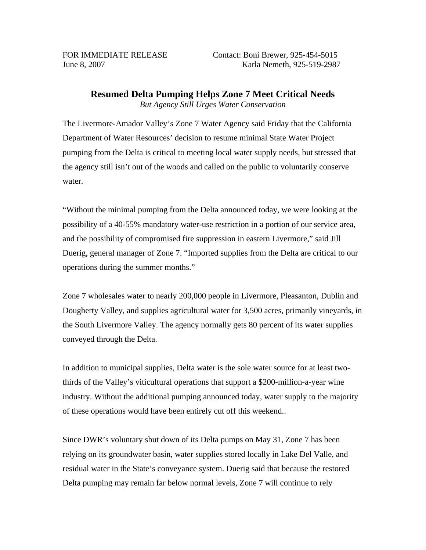## **Resumed Delta Pumping Helps Zone 7 Meet Critical Needs** *But Agency Still Urges Water Conservation*

The Livermore-Amador Valley's Zone 7 Water Agency said Friday that the California Department of Water Resources' decision to resume minimal State Water Project pumping from the Delta is critical to meeting local water supply needs, but stressed that the agency still isn't out of the woods and called on the public to voluntarily conserve water.

"Without the minimal pumping from the Delta announced today, we were looking at the possibility of a 40-55% mandatory water-use restriction in a portion of our service area, and the possibility of compromised fire suppression in eastern Livermore," said Jill Duerig, general manager of Zone 7. "Imported supplies from the Delta are critical to our operations during the summer months."

Zone 7 wholesales water to nearly 200,000 people in Livermore, Pleasanton, Dublin and Dougherty Valley, and supplies agricultural water for 3,500 acres, primarily vineyards, in the South Livermore Valley. The agency normally gets 80 percent of its water supplies conveyed through the Delta.

In addition to municipal supplies, Delta water is the sole water source for at least twothirds of the Valley's viticultural operations that support a \$200-million-a-year wine industry. Without the additional pumping announced today, water supply to the majority of these operations would have been entirely cut off this weekend..

Since DWR's voluntary shut down of its Delta pumps on May 31, Zone 7 has been relying on its groundwater basin, water supplies stored locally in Lake Del Valle, and residual water in the State's conveyance system. Duerig said that because the restored Delta pumping may remain far below normal levels, Zone 7 will continue to rely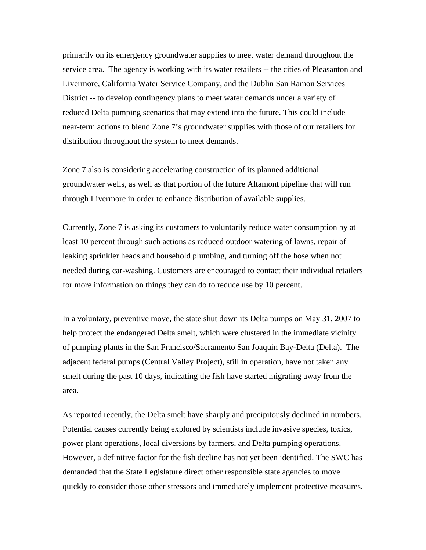primarily on its emergency groundwater supplies to meet water demand throughout the service area. The agency is working with its water retailers -- the cities of Pleasanton and Livermore, California Water Service Company, and the Dublin San Ramon Services District -- to develop contingency plans to meet water demands under a variety of reduced Delta pumping scenarios that may extend into the future. This could include near-term actions to blend Zone 7's groundwater supplies with those of our retailers for distribution throughout the system to meet demands.

Zone 7 also is considering accelerating construction of its planned additional groundwater wells, as well as that portion of the future Altamont pipeline that will run through Livermore in order to enhance distribution of available supplies.

Currently, Zone 7 is asking its customers to voluntarily reduce water consumption by at least 10 percent through such actions as reduced outdoor watering of lawns, repair of leaking sprinkler heads and household plumbing, and turning off the hose when not needed during car-washing. Customers are encouraged to contact their individual retailers for more information on things they can do to reduce use by 10 percent.

In a voluntary, preventive move, the state shut down its Delta pumps on May 31, 2007 to help protect the endangered Delta smelt, which were clustered in the immediate vicinity of pumping plants in the San Francisco/Sacramento San Joaquin Bay-Delta (Delta). The adjacent federal pumps (Central Valley Project), still in operation, have not taken any smelt during the past 10 days, indicating the fish have started migrating away from the area.

As reported recently, the Delta smelt have sharply and precipitously declined in numbers. Potential causes currently being explored by scientists include invasive species, toxics, power plant operations, local diversions by farmers, and Delta pumping operations. However, a definitive factor for the fish decline has not yet been identified. The SWC has demanded that the State Legislature direct other responsible state agencies to move quickly to consider those other stressors and immediately implement protective measures.